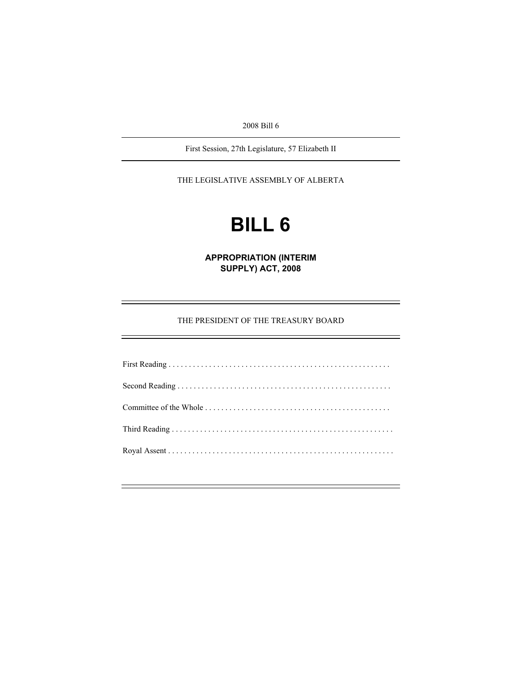2008 Bill 6

First Session, 27th Legislature, 57 Elizabeth II

THE LEGISLATIVE ASSEMBLY OF ALBERTA

# **BILL 6**

**APPROPRIATION (INTERIM SUPPLY) ACT, 2008** 

## THE PRESIDENT OF THE TREASURY BOARD

e<br>He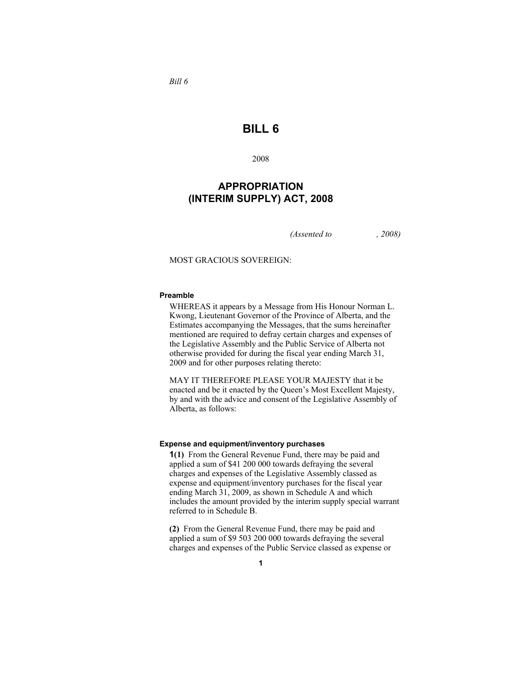**BILL 6** 

2008

**APPROPRIATION (INTERIM SUPPLY) ACT, 2008**

*(Assented to , 2008)* 

MOST GRACIOUS SOVEREIGN:

#### **Preamble**

WHEREAS it appears by a Message from His Honour Norman L. Kwong, Lieutenant Governor of the Province of Alberta, and the Estimates accompanying the Messages, that the sums hereinafter mentioned are required to defray certain charges and expenses of the Legislative Assembly and the Public Service of Alberta not otherwise provided for during the fiscal year ending March 31, 2009 and for other purposes relating thereto:

MAY IT THEREFORE PLEASE YOUR MAJESTY that it be enacted and be it enacted by the Queen's Most Excellent Majesty, by and with the advice and consent of the Legislative Assembly of Alberta, as follows:

#### **Expense and equipment/inventory purchases**

**1(1)** From the General Revenue Fund, there may be paid and applied a sum of \$41 200 000 towards defraying the several charges and expenses of the Legislative Assembly classed as expense and equipment/inventory purchases for the fiscal year ending March 31, 2009, as shown in Schedule A and which includes the amount provided by the interim supply special warrant referred to in Schedule B.

**(2)** From the General Revenue Fund, there may be paid and applied a sum of \$9 503 200 000 towards defraying the several charges and expenses of the Public Service classed as expense or

*Bill 6*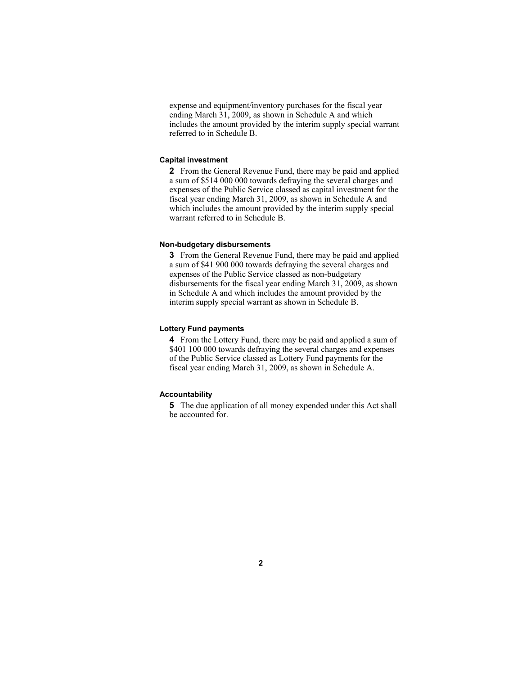expense and equipment/inventory purchases for the fiscal year ending March 31, 2009, as shown in Schedule A and which includes the amount provided by the interim supply special warrant referred to in Schedule B.

#### **Capital investment**

**2** From the General Revenue Fund, there may be paid and applied a sum of \$514 000 000 towards defraying the several charges and expenses of the Public Service classed as capital investment for the fiscal year ending March 31, 2009, as shown in Schedule A and which includes the amount provided by the interim supply special warrant referred to in Schedule B.

#### **Non-budgetary disbursements**

**3** From the General Revenue Fund, there may be paid and applied a sum of \$41 900 000 towards defraying the several charges and expenses of the Public Service classed as non-budgetary disbursements for the fiscal year ending March 31, 2009, as shown in Schedule A and which includes the amount provided by the interim supply special warrant as shown in Schedule B.

#### **Lottery Fund payments**

**4** From the Lottery Fund, there may be paid and applied a sum of \$401 100 000 towards defraying the several charges and expenses of the Public Service classed as Lottery Fund payments for the fiscal year ending March 31, 2009, as shown in Schedule A.

#### **Accountability**

**5** The due application of all money expended under this Act shall be accounted for.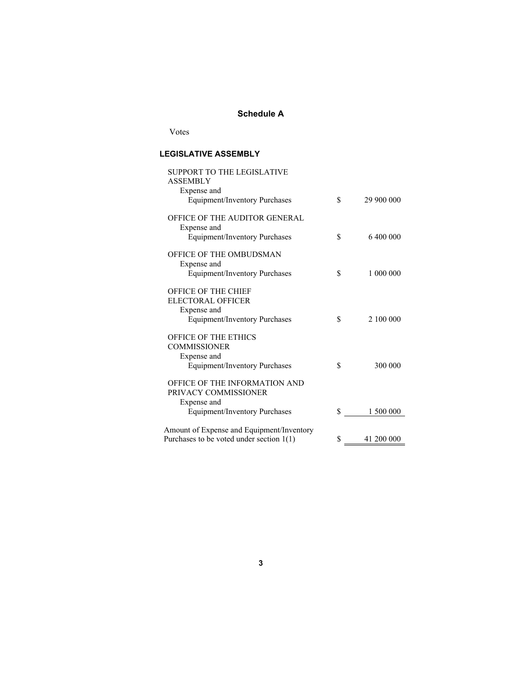# **Schedule A**

Votes

# **LEGISLATIVE ASSEMBLY**

| SUPPORT TO THE LEGISLATIVE<br>ASSEMBLY<br>Expense and<br>Equipment/Inventory Purchases                        | \$ | 29 900 000 |
|---------------------------------------------------------------------------------------------------------------|----|------------|
| OFFICE OF THE AUDITOR GENERAL<br>Expense and<br><b>Equipment/Inventory Purchases</b>                          | \$ | 6 400 000  |
| OFFICE OF THE OMBUDSMAN<br>Expense and<br>Equipment/Inventory Purchases                                       | \$ | 1 000 000  |
| <b>OFFICE OF THE CHIEF</b><br><b>ELECTORAL OFFICER</b><br>Expense and<br><b>Equipment/Inventory Purchases</b> | \$ | 2 100 000  |
| <b>OFFICE OF THE ETHICS</b><br><b>COMMISSIONER</b><br>Expense and                                             |    |            |
| <b>Equipment/Inventory Purchases</b><br>OFFICE OF THE INFORMATION AND                                         | \$ | 300 000    |
| PRIVACY COMMISSIONER<br>Expense and                                                                           |    |            |
| Equipment/Inventory Purchases                                                                                 | S  | 1 500 000  |
| Amount of Expense and Equipment/Inventory                                                                     |    |            |
| Purchases to be voted under section $1(1)$                                                                    | \$ | 41 200 000 |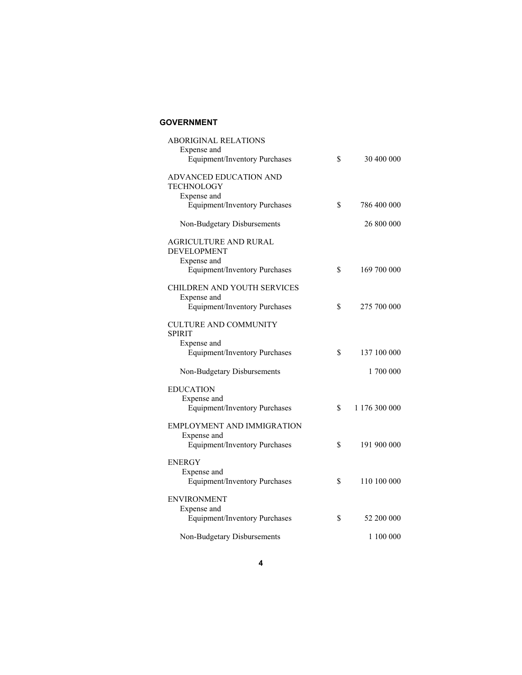# **GOVERNMENT**

| <b>ABORIGINAL RELATIONS</b><br>Expense and<br><b>Equipment/Inventory Purchases</b> | \$<br>30 400 000    |
|------------------------------------------------------------------------------------|---------------------|
| ADVANCED EDUCATION AND<br><b>TECHNOLOGY</b>                                        |                     |
| Expense and<br><b>Equipment/Inventory Purchases</b>                                | \$<br>786 400 000   |
| Non-Budgetary Disbursements                                                        | 26 800 000          |
| AGRICULTURE AND RURAL<br><b>DEVELOPMENT</b><br>Expense and                         |                     |
| <b>Equipment/Inventory Purchases</b>                                               | \$<br>169 700 000   |
| CHILDREN AND YOUTH SERVICES                                                        |                     |
| Expense and<br><b>Equipment/Inventory Purchases</b>                                | \$<br>275 700 000   |
| <b>CULTURE AND COMMUNITY</b><br><b>SPIRIT</b><br>Expense and                       |                     |
| <b>Equipment/Inventory Purchases</b>                                               | \$<br>137 100 000   |
| Non-Budgetary Disbursements                                                        | 1 700 000           |
| <b>EDUCATION</b>                                                                   |                     |
| Expense and<br><b>Equipment/Inventory Purchases</b>                                | \$<br>1 176 300 000 |
| EMPLOYMENT AND IMMIGRATION                                                         |                     |
| Expense and<br><b>Equipment/Inventory Purchases</b>                                | \$<br>191 900 000   |
| <b>ENERGY</b><br>Expense and<br><b>Equipment/Inventory Purchases</b>               | \$<br>110 100 000   |
| <b>ENVIRONMENT</b>                                                                 |                     |
| Expense and<br><b>Equipment/Inventory Purchases</b>                                | \$<br>52 200 000    |
| Non-Budgetary Disbursements                                                        | 1 100 000           |
|                                                                                    |                     |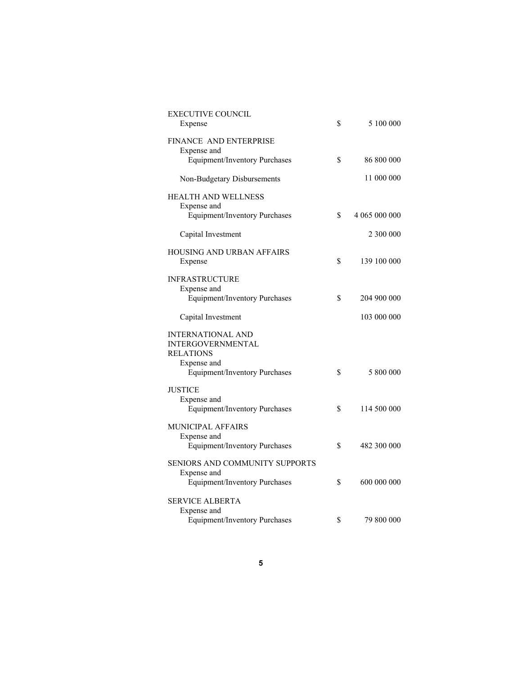| <b>EXECUTIVE COUNCIL</b><br>Expense                                      | \$<br>5 100 000     |
|--------------------------------------------------------------------------|---------------------|
| <b>FINANCE AND ENTERPRISE</b><br>Expense and                             |                     |
| Equipment/Inventory Purchases                                            | \$<br>86 800 000    |
| Non-Budgetary Disbursements                                              | 11 000 000          |
| <b>HEALTH AND WELLNESS</b><br>Expense and                                |                     |
| <b>Equipment/Inventory Purchases</b>                                     | \$<br>4 065 000 000 |
| Capital Investment                                                       | 2 300 000           |
| <b>HOUSING AND URBAN AFFAIRS</b><br>Expense                              | \$<br>139 100 000   |
| <b>INFRASTRUCTURE</b>                                                    |                     |
| Expense and<br>Equipment/Inventory Purchases                             | \$<br>204 900 000   |
| Capital Investment                                                       | 103 000 000         |
| <b>INTERNATIONAL AND</b><br><b>INTERGOVERNMENTAL</b><br><b>RELATIONS</b> |                     |
| Expense and<br><b>Equipment/Inventory Purchases</b>                      | \$<br>5 800 000     |
| <b>JUSTICE</b><br>Expense and                                            |                     |
| <b>Equipment/Inventory Purchases</b>                                     | \$<br>114 500 000   |
| MUNICIPAL AFFAIRS<br>Expense and                                         |                     |
| <b>Equipment/Inventory Purchases</b>                                     | \$<br>482 300 000   |
| SENIORS AND COMMUNITY SUPPORTS<br>Expense and                            |                     |
| <b>Equipment/Inventory Purchases</b>                                     | \$<br>600 000 000   |
| SERVICE ALBERTA<br>Expense and                                           |                     |
| <b>Equipment/Inventory Purchases</b>                                     | \$<br>79 800 000    |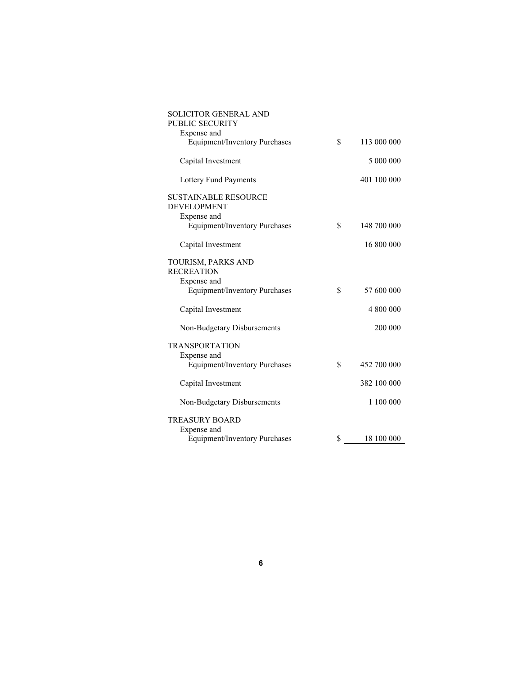| SOLICITOR GENERAL AND<br><b>PUBLIC SECURITY</b>     |    |             |  |
|-----------------------------------------------------|----|-------------|--|
| Expense and                                         |    |             |  |
| Equipment/Inventory Purchases                       | \$ | 113 000 000 |  |
| Capital Investment                                  |    | 5 000 000   |  |
| Lottery Fund Payments                               |    | 401 100 000 |  |
| <b>SUSTAINABLE RESOURCE</b><br><b>DEVELOPMENT</b>   |    |             |  |
| Expense and<br>Equipment/Inventory Purchases        | \$ | 148 700 000 |  |
| Capital Investment                                  |    | 16 800 000  |  |
| TOURISM, PARKS AND<br><b>RECREATION</b>             |    |             |  |
| Expense and<br><b>Equipment/Inventory Purchases</b> | \$ | 57 600 000  |  |
| Capital Investment                                  |    | 4 800 000   |  |
| Non-Budgetary Disbursements                         |    | 200 000     |  |
| <b>TRANSPORTATION</b><br>Expense and                |    |             |  |
| <b>Equipment/Inventory Purchases</b>                | \$ | 452 700 000 |  |
| Capital Investment                                  |    | 382 100 000 |  |
| Non-Budgetary Disbursements                         |    | 1 100 000   |  |
| <b>TREASURY BOARD</b><br>Expense and                |    |             |  |
| <b>Equipment/Inventory Purchases</b>                | S  | 18 100 000  |  |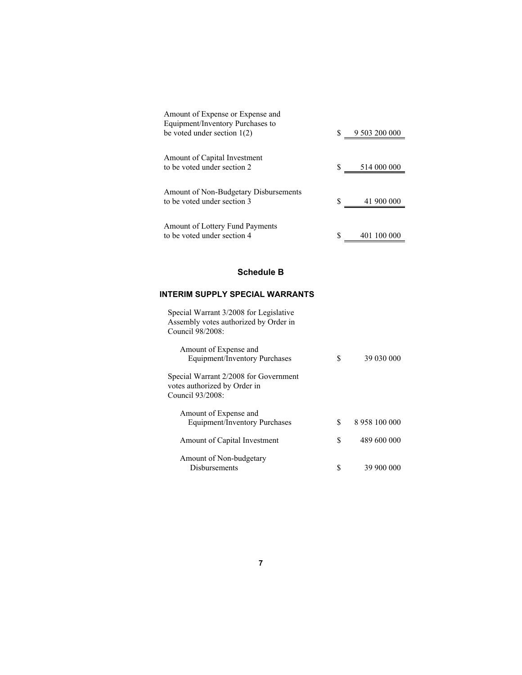| Amount of Expense or Expense and                                     |   |               |
|----------------------------------------------------------------------|---|---------------|
| Equipment/Inventory Purchases to                                     |   |               |
| be voted under section $1(2)$                                        |   | 9 503 200 000 |
| Amount of Capital Investment<br>to be voted under section 2          |   | 514 000 000   |
| Amount of Non-Budgetary Disbursements<br>to be voted under section 3 |   | 41 900 000    |
| Amount of Lottery Fund Payments<br>to be voted under section 4       | S | 401 100 000   |

# **Schedule B**

# **INTERIM SUPPLY SPECIAL WARRANTS**

| Special Warrant 3/2008 for Legislative<br>Assembly votes authorized by Order in<br>Council $98/2008$ |    |               |
|------------------------------------------------------------------------------------------------------|----|---------------|
| Amount of Expense and<br><b>Equipment/Inventory Purchases</b>                                        | S  | 39 030 000    |
| Special Warrant 2/2008 for Government<br>votes authorized by Order in<br>Council $93/2008$           |    |               |
| Amount of Expense and                                                                                |    |               |
| Equipment/Inventory Purchases                                                                        | \$ | 8 958 100 000 |
| Amount of Capital Investment                                                                         | \$ | 489 600 000   |
| Amount of Non-budgetary                                                                              |    |               |
| <b>Disbursements</b>                                                                                 |    | 39 900 000    |